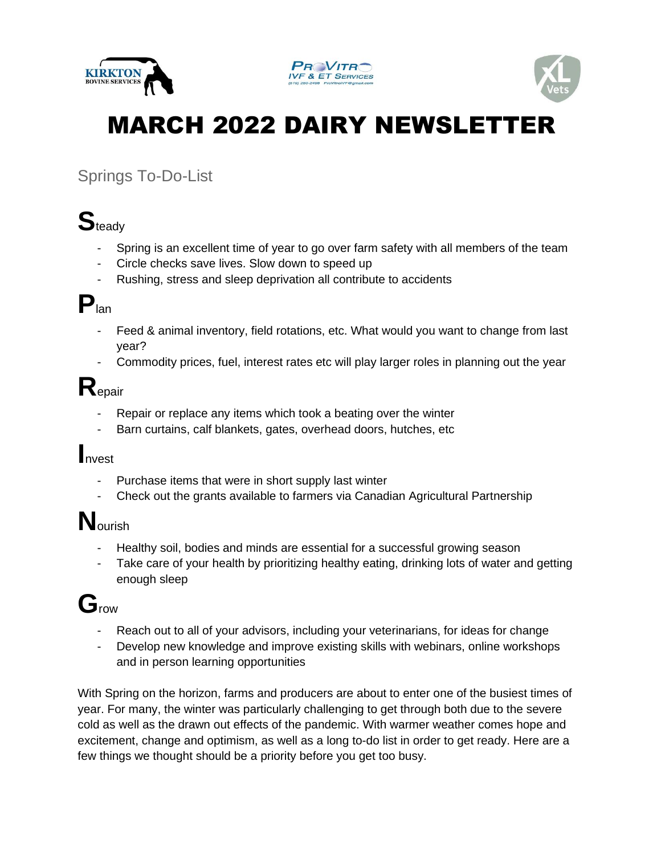





# MARCH 2022 DAIRY NEWSLETTER

### Springs To-Do-List

# **S**teady

- Spring is an excellent time of year to go over farm safety with all members of the team
- Circle checks save lives. Slow down to speed up
- Rushing, stress and sleep deprivation all contribute to accidents

## **P**lan

- Feed & animal inventory, field rotations, etc. What would you want to change from last year?
- Commodity prices, fuel, interest rates etc will play larger roles in planning out the year

## **R**epair

- Repair or replace any items which took a beating over the winter
- Barn curtains, calf blankets, gates, overhead doors, hutches, etc

#### **I**nvest

- Purchase items that were in short supply last winter
- Check out the grants available to farmers via Canadian Agricultural Partnership

# **N**ourish

- Healthy soil, bodies and minds are essential for a successful growing season
- Take care of your health by prioritizing healthy eating, drinking lots of water and getting enough sleep

### **G**row

- Reach out to all of your advisors, including your veterinarians, for ideas for change
- Develop new knowledge and improve existing skills with webinars, online workshops and in person learning opportunities

With Spring on the horizon, farms and producers are about to enter one of the busiest times of year. For many, the winter was particularly challenging to get through both due to the severe cold as well as the drawn out effects of the pandemic. With warmer weather comes hope and excitement, change and optimism, as well as a long to-do list in order to get ready. Here are a few things we thought should be a priority before you get too busy.